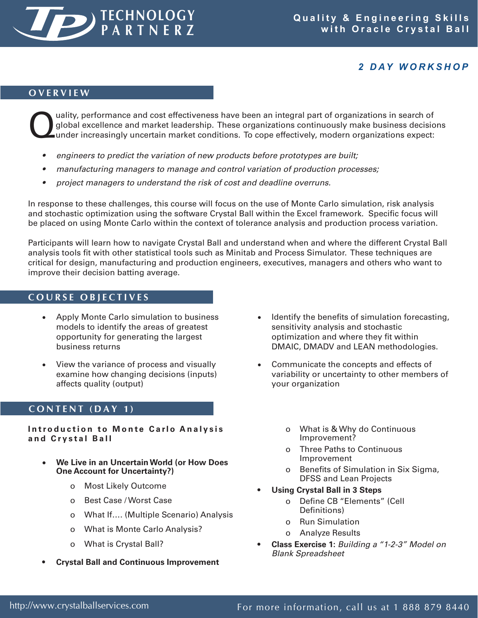

# *2 D AY W O R K S H O P*

## **O V E R V I E W**

Quality, performance and cost effectiveness have been an integral part of organizations in search of global excellence and market leadership. These organizations continuously make business decision under increasingly uncer global excellence and market leadership. These organizations continuously make business decisions

- *• engineers to predict the variation of new products before prototypes are built;*
- *• manufacturing managers to manage and control variation of production processes;*
- *• project managers to understand the risk of cost and deadline overruns.*

In response to these challenges, this course will focus on the use of Monte Carlo simulation, risk analysis and stochastic optimization using the software Crystal Ball within the Excel framework. Specific focus will be placed on using Monte Carlo within the context of tolerance analysis and production process variation.

Participants will learn how to navigate Crystal Ball and understand when and where the different Crystal Ball analysis tools fit with other statistical tools such as Minitab and Process Simulator. These techniques are critical for design, manufacturing and production engineers, executives, managers and others who want to improve their decision batting average.

## **C O U R S E O B J E C T I V E S**

- Apply Monte Carlo simulation to business models to identify the areas of greatest opportunity for generating the largest business returns
- View the variance of process and visually examine how changing decisions (inputs) affects quality (output)

## **C O N T E N T ( D A Y 1 )**

**Introduction to Monte Carlo Analysis a n d C r y s t a l B a l l**

- **We Live in an Uncertain World (or How Does One Account for Uncertainty?)**
	- o Most Likely Outcome
	- o Best Case / Worst Case
	- o What If…. (Multiple Scenario) Analysis
	- o What is Monte Carlo Analysis?
	- o What is Crystal Ball?
- **Crystal Ball and Continuous Improvement**
- Identify the benefits of simulation forecasting, sensitivity analysis and stochastic optimization and where they fit within DMAIC, DMADV and LEAN methodologies.
- Communicate the concepts and effects of variability or uncertainty to other members of your organization
	- o What is & Why do Continuous Improvement?
	- o Three Paths to Continuous Improvement
	- o Benefits of Simulation in Six Sigma, DFSS and Lean Projects
- **Using Crystal Ball in 3 Steps**
	- o Define CB "Elements" (Cell Definitions)
	- o Run Simulation
	- o Analyze Results
- **Class Exercise 1:** *Building a "1-2-3" Model on Blank Spreadsheet*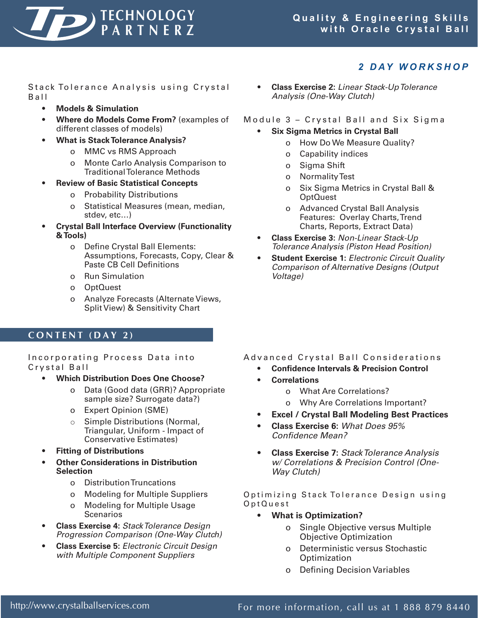

# *2 D AY W O R K S H O P*

Stack Tolerance Analysis using Crystal  $B$  a  $II$ 

- **Models & Simulation**
- **Where do Models Come From?** (examples of different classes of models)
- **What is Stack Tolerance Analysis?**
	- o MMC vs RMS Approach
	- o Monte Carlo Analysis Comparison to Traditional Tolerance Methods
- **Review of Basic Statistical Concepts** 
	- o Probability Distributions
	- o Statistical Measures (mean, median, stdev, etc…)
- **Crystal Ball Interface Overview (Functionality & Tools)**
	- o Define Crystal Ball Elements: Assumptions, Forecasts, Copy, Clear & Paste CB Cell Definitions
	- o Run Simulation
	- o OptQuest
	- o Analyze Forecasts (Alternate Views, Split View) & Sensitivity Chart

### **C O N T E N T ( D A Y 2 )**

Incorporating Process Data into Crvstal Ball

- **Which Distribution Does One Choose?**
	- o Data (Good data (GRR)? Appropriate sample size? Surrogate data?)
	- o Expert Opinion (SME)
	- o Simple Distributions (Normal, Triangular, Uniform - Impact of Conservative Estimates)
- **Fitting of Distributions**
- **Other Considerations in Distribution Selection**
	- o Distribution Truncations
	- o Modeling for Multiple Suppliers
	- o Modeling for Multiple Usage **Scenarios**
- **Class Exercise 4:** *StackTolerance Design Progression Comparison (One-Way Clutch)*
- **Class Exercise 5:** *Electronic Circuit Design with Multiple Component Suppliers*

• **Class Exercise 2:** *Linear Stack-UpTolerance Analysis (One-Way Clutch)*

Module 3 - Crystal Ball and Six Sigma

- **Six Sigma Metrics in Crystal Ball**
	- o How Do We Measure Quality?
	- o Capability indices
	- o Sigma Shift
	- o Normality Test
	- o Six Sigma Metrics in Crystal Ball & OptQuest
	- o Advanced Crystal Ball Analysis Features: Overlay Charts, Trend Charts, Reports, Extract Data)
	- **Class Exercise 3:** *Non-Linear Stack-Up Tolerance Analysis (Piston Head Position)*
- **Student Exercise 1:** *Electronic Circuit Quality Comparison of Alternative Designs (Output Voltage)*

- Advanced Crystal Ball Considerations
	- **• Confidence Intervals & Precision Control**
	- **Correlations**
		- o What Are Correlations?
		- o Why Are Correlations Important?
	- **• Excel / Crystal Ball Modeling Best Practices**
	- **Class Exercise 6:** *What Does 95% Confidence Mean?*
	- **Class Exercise 7:** *StackTolerance Analysis w/ Correlations & Precision Control (One-Way Clutch)*

Optimizing Stack Tolerance Design using O p t Q u e s t

- **What is Optimization?**
	- Single Objective versus Multiple Objective Optimization
	- o Deterministic versus Stochastic **Optimization**
	- o Defining Decision Variables